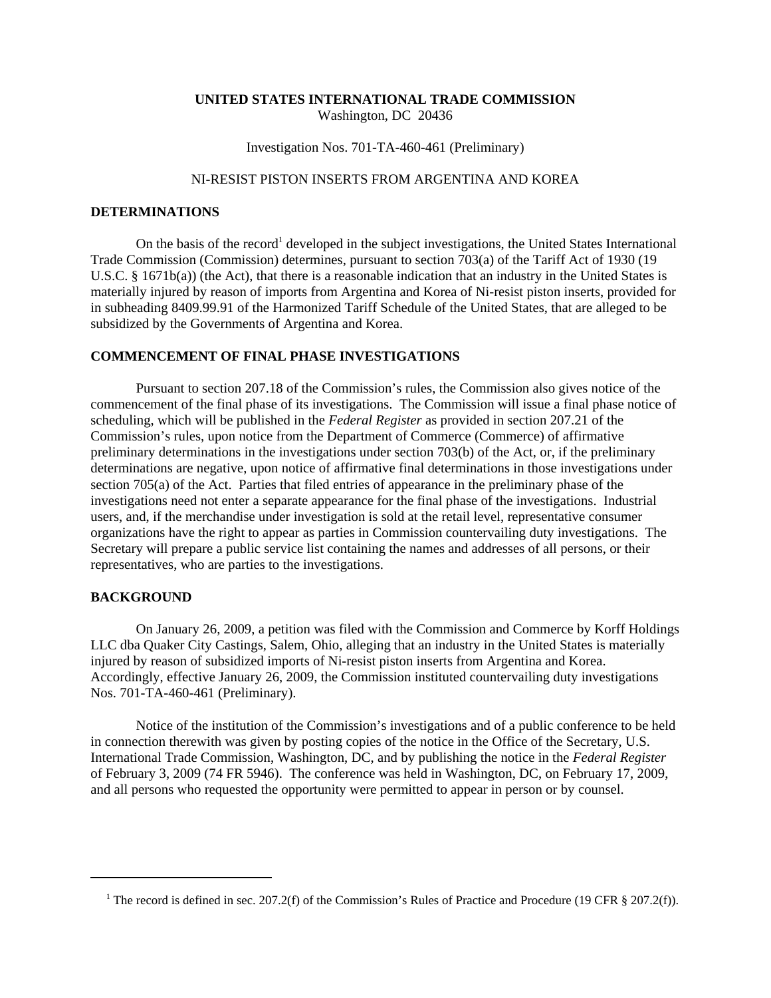### **UNITED STATES INTERNATIONAL TRADE COMMISSION** Washington, DC 20436

Investigation Nos. 701-TA-460-461 (Preliminary)

# NI-RESIST PISTON INSERTS FROM ARGENTINA AND KOREA

#### **DETERMINATIONS**

On the basis of the record<sup>1</sup> developed in the subject investigations, the United States International Trade Commission (Commission) determines, pursuant to section 703(a) of the Tariff Act of 1930 (19 U.S.C. § 1671b(a)) (the Act), that there is a reasonable indication that an industry in the United States is materially injured by reason of imports from Argentina and Korea of Ni-resist piston inserts, provided for in subheading 8409.99.91 of the Harmonized Tariff Schedule of the United States, that are alleged to be subsidized by the Governments of Argentina and Korea.

#### **COMMENCEMENT OF FINAL PHASE INVESTIGATIONS**

Pursuant to section 207.18 of the Commission's rules, the Commission also gives notice of the commencement of the final phase of its investigations. The Commission will issue a final phase notice of scheduling, which will be published in the *Federal Register* as provided in section 207.21 of the Commission's rules, upon notice from the Department of Commerce (Commerce) of affirmative preliminary determinations in the investigations under section 703(b) of the Act, or, if the preliminary determinations are negative, upon notice of affirmative final determinations in those investigations under section 705(a) of the Act. Parties that filed entries of appearance in the preliminary phase of the investigations need not enter a separate appearance for the final phase of the investigations. Industrial users, and, if the merchandise under investigation is sold at the retail level, representative consumer organizations have the right to appear as parties in Commission countervailing duty investigations. The Secretary will prepare a public service list containing the names and addresses of all persons, or their representatives, who are parties to the investigations.

## **BACKGROUND**

On January 26, 2009, a petition was filed with the Commission and Commerce by Korff Holdings LLC dba Quaker City Castings, Salem, Ohio, alleging that an industry in the United States is materially injured by reason of subsidized imports of Ni-resist piston inserts from Argentina and Korea. Accordingly, effective January 26, 2009, the Commission instituted countervailing duty investigations Nos. 701-TA-460-461 (Preliminary).

Notice of the institution of the Commission's investigations and of a public conference to be held in connection therewith was given by posting copies of the notice in the Office of the Secretary, U.S. International Trade Commission, Washington, DC, and by publishing the notice in the *Federal Register* of February 3, 2009 (74 FR 5946). The conference was held in Washington, DC, on February 17, 2009, and all persons who requested the opportunity were permitted to appear in person or by counsel.

<sup>&</sup>lt;sup>1</sup> The record is defined in sec. 207.2(f) of the Commission's Rules of Practice and Procedure (19 CFR § 207.2(f)).